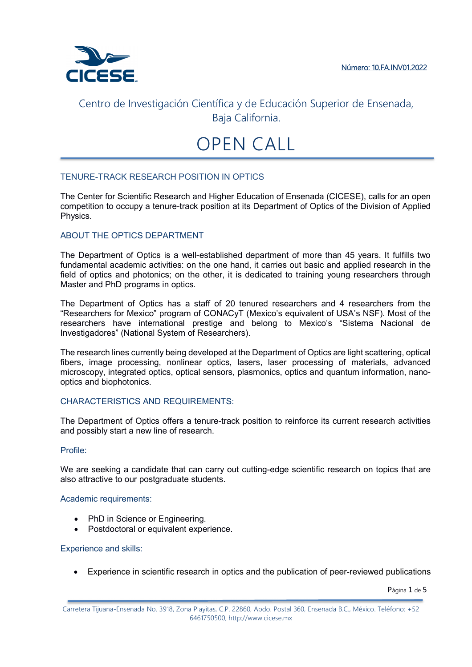

# OPEN CALL

## TENURE-TRACK RESEARCH POSITION IN OPTICS

The Center for Scientific Research and Higher Education of Ensenada (CICESE), calls for an open competition to occupy a tenure-track position at its Department of Optics of the Division of Applied Physics.

### ABOUT THE OPTICS DEPARTMENT

The Department of Optics is a well-established department of more than 45 years. It fulfills two fundamental academic activities: on the one hand, it carries out basic and applied research in the field of optics and photonics; on the other, it is dedicated to training young researchers through Master and PhD programs in optics.

The Department of Optics has a staff of 20 tenured researchers and 4 researchers from the "Researchers for Mexico" program of CONACyT (Mexico's equivalent of USA's NSF). Most of the researchers have international prestige and belong to Mexico's "Sistema Nacional de Investigadores" (National System of Researchers).

The research lines currently being developed at the Department of Optics are light scattering, optical fibers, image processing, nonlinear optics, lasers, laser processing of materials, advanced microscopy, integrated optics, optical sensors, plasmonics, optics and quantum information, nanooptics and biophotonics.

### CHARACTERISTICS AND REQUIREMENTS:

The Department of Optics offers a tenure-track position to reinforce its current research activities and possibly start a new line of research.

#### Profile:

We are seeking a candidate that can carry out cutting-edge scientific research on topics that are also attractive to our postgraduate students.

#### Academic requirements:

- PhD in Science or Engineering.
- Postdoctoral or equivalent experience.

#### Experience and skills:

Experience in scientific research in optics and the publication of peer-reviewed publications

Página 1 de 5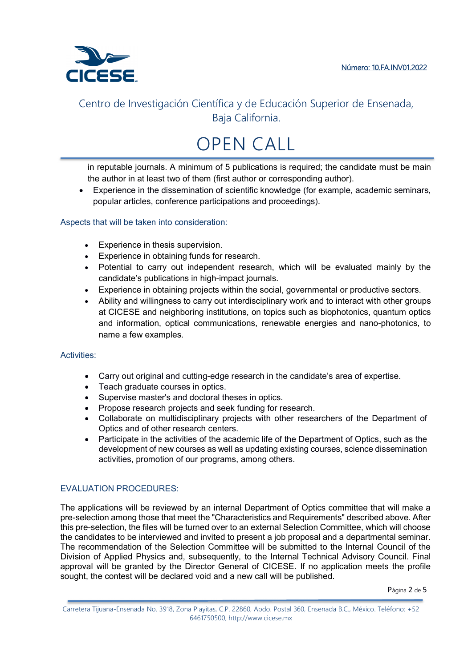

# OPEN CALL

in reputable journals. A minimum of 5 publications is required; the candidate must be main the author in at least two of them (first author or corresponding author).

 Experience in the dissemination of scientific knowledge (for example, academic seminars, popular articles, conference participations and proceedings).

Aspects that will be taken into consideration:

- Experience in thesis supervision.
- **Experience in obtaining funds for research.**
- Potential to carry out independent research, which will be evaluated mainly by the candidate's publications in high-impact journals.
- Experience in obtaining projects within the social, governmental or productive sectors.
- Ability and willingness to carry out interdisciplinary work and to interact with other groups at CICESE and neighboring institutions, on topics such as biophotonics, quantum optics and information, optical communications, renewable energies and nano-photonics, to name a few examples.

### Activities:

- Carry out original and cutting-edge research in the candidate's area of expertise.
- Teach graduate courses in optics.
- Supervise master's and doctoral theses in optics.
- Propose research projects and seek funding for research.
- Collaborate on multidisciplinary projects with other researchers of the Department of Optics and of other research centers.
- Participate in the activities of the academic life of the Department of Optics, such as the development of new courses as well as updating existing courses, science dissemination activities, promotion of our programs, among others.

## EVALUATION PROCEDURES:

The applications will be reviewed by an internal Department of Optics committee that will make a pre-selection among those that meet the "Characteristics and Requirements" described above. After this pre-selection, the files will be turned over to an external Selection Committee, which will choose the candidates to be interviewed and invited to present a job proposal and a departmental seminar. The recommendation of the Selection Committee will be submitted to the Internal Council of the Division of Applied Physics and, subsequently, to the Internal Technical Advisory Council. Final approval will be granted by the Director General of CICESE. If no application meets the profile sought, the contest will be declared void and a new call will be published.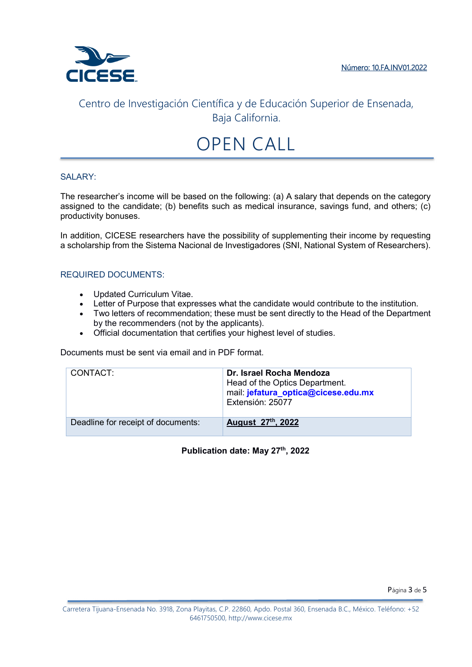

# OPEN CALL

### SALARY:

The researcher's income will be based on the following: (a) A salary that depends on the category assigned to the candidate; (b) benefits such as medical insurance, savings fund, and others; (c) productivity bonuses.

In addition, CICESE researchers have the possibility of supplementing their income by requesting a scholarship from the Sistema Nacional de Investigadores (SNI, National System of Researchers).

### REQUIRED DOCUMENTS:

- Updated Curriculum Vitae.
- Letter of Purpose that expresses what the candidate would contribute to the institution.
- Two letters of recommendation; these must be sent directly to the Head of the Department by the recommenders (not by the applicants).
- Official documentation that certifies your highest level of studies.

Documents must be sent via email and in PDF format.

| CONTACT:                           | Dr. Israel Rocha Mendoza<br>Head of the Optics Department.<br>mail: jefatura_optica@cicese.edu.mx<br>Extensión: 25077 |
|------------------------------------|-----------------------------------------------------------------------------------------------------------------------|
| Deadline for receipt of documents: | August 27th, 2022                                                                                                     |

### **Publication date: May 27th, 2022**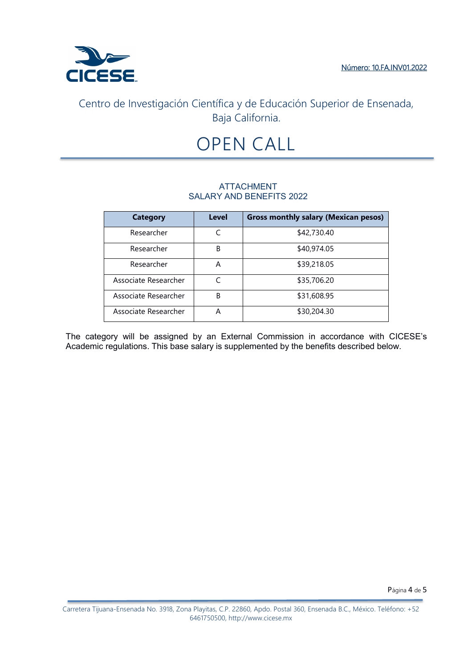

# OPEN CALL

## ATTACHMENT SALARY AND BENEFITS 2022

| <b>Category</b>      | Level | <b>Gross monthly salary (Mexican pesos)</b> |
|----------------------|-------|---------------------------------------------|
| Researcher           |       | \$42,730.40                                 |
| Researcher           | B     | \$40,974.05                                 |
| Researcher           | А     | \$39,218.05                                 |
| Associate Researcher |       | \$35,706.20                                 |
| Associate Researcher | B     | \$31,608.95                                 |
| Associate Researcher | А     | \$30,204.30                                 |

The category will be assigned by an External Commission in accordance with CICESE's Academic regulations. This base salary is supplemented by the benefits described below.

Página 4 de 5